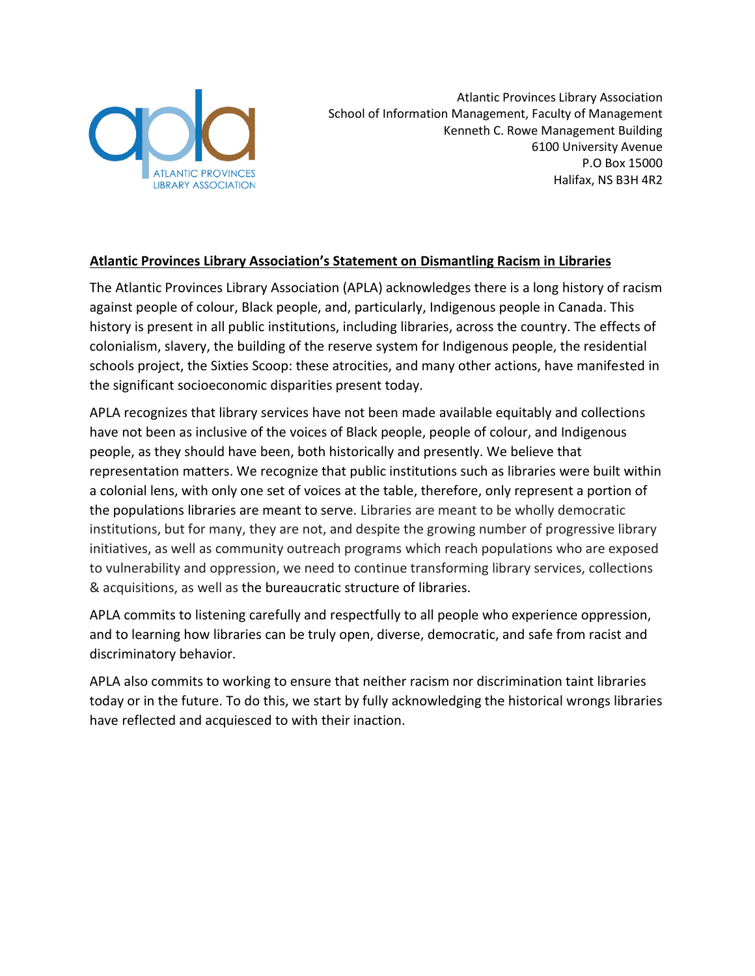

Atlantic Provinces Library Association School of Information Management, Faculty of Management Kenneth C. Rowe Management Building 6100 University Avenue P.O Box 15000 Halifax, NS B3H 4R2

## **Atlantic Provinces Library Association's Statement on Dismantling Racism in Libraries**

The Atlantic Provinces Library Association (APLA) acknowledges there is a long history of racism against people of colour, Black people, and, particularly, Indigenous people in Canada. This history is present in all public institutions, including libraries, across the country. The effects of colonialism, slavery, the building of the reserve system for Indigenous people, the residential schools project, the Sixties Scoop: these atrocities, and many other actions, have manifested in the significant socioeconomic disparities present today.

APLA recognizes that library services have not been made available equitably and collections have not been as inclusive of the voices of Black people, people of colour, and Indigenous people, as they should have been, both historically and presently. We believe that representation matters. We recognize that public institutions such as libraries were built within a colonial lens, with only one set of voices at the table, therefore, only represent a portion of the populations libraries are meant to serve. Libraries are meant to be wholly democratic institutions, but for many, they are not, and despite the growing number of progressive library initiatives, as well as community outreach programs which reach populations who are exposed to vulnerability and oppression, we need to continue transforming library services, collections & acquisitions, as well as the bureaucratic structure of libraries.

APLA commits to listening carefully and respectfully to all people who experience oppression, and to learning how libraries can be truly open, diverse, democratic, and safe from racist and discriminatory behavior.

APLA also commits to working to ensure that neither racism nor discrimination taint libraries today or in the future. To do this, we start by fully acknowledging the historical wrongs libraries have reflected and acquiesced to with their inaction.